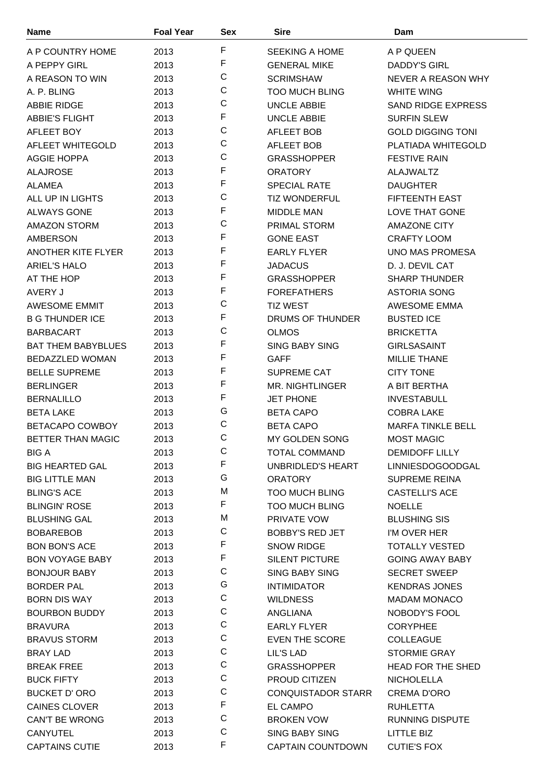| <b>Name</b>               | <b>Foal Year</b> | Sex         | <b>Sire</b>               | Dam                       |
|---------------------------|------------------|-------------|---------------------------|---------------------------|
| A P COUNTRY HOME          | 2013             | F           | <b>SEEKING A HOME</b>     | A P QUEEN                 |
| A PEPPY GIRL              | 2013             | F           | <b>GENERAL MIKE</b>       | DADDY'S GIRL              |
| A REASON TO WIN           | 2013             | C           | <b>SCRIMSHAW</b>          | NEVER A REASON WHY        |
| A. P. BLING               | 2013             | $\mathsf C$ | <b>TOO MUCH BLING</b>     | <b>WHITE WING</b>         |
| <b>ABBIE RIDGE</b>        | 2013             | C           | <b>UNCLE ABBIE</b>        | <b>SAND RIDGE EXPRESS</b> |
| <b>ABBIE'S FLIGHT</b>     | 2013             | F           | <b>UNCLE ABBIE</b>        | <b>SURFIN SLEW</b>        |
| AFLEET BOY                | 2013             | C           | <b>AFLEET BOB</b>         | <b>GOLD DIGGING TONI</b>  |
| AFLEET WHITEGOLD          | 2013             | C           | AFLEET BOB                | <b>PLATIADA WHITEGOLD</b> |
| AGGIE HOPPA               | 2013             | C           | <b>GRASSHOPPER</b>        | <b>FESTIVE RAIN</b>       |
| <b>ALAJROSE</b>           | 2013             | $\mathsf F$ | <b>ORATORY</b>            | <b>ALAJWALTZ</b>          |
| <b>ALAMEA</b>             | 2013             | $\mathsf F$ | <b>SPECIAL RATE</b>       | <b>DAUGHTER</b>           |
| ALL UP IN LIGHTS          |                  | C           | <b>TIZ WONDERFUL</b>      | <b>FIFTEENTH EAST</b>     |
|                           | 2013             | F           |                           |                           |
| <b>ALWAYS GONE</b>        | 2013             | C           | <b>MIDDLE MAN</b>         | LOVE THAT GONE            |
| <b>AMAZON STORM</b>       | 2013             | $\mathsf F$ | <b>PRIMAL STORM</b>       | <b>AMAZONE CITY</b>       |
| <b>AMBERSON</b>           | 2013             | $\mathsf F$ | <b>GONE EAST</b>          | <b>CRAFTY LOOM</b>        |
| <b>ANOTHER KITE FLYER</b> | 2013             | F           | <b>EARLY FLYER</b>        | <b>UNO MAS PROMESA</b>    |
| <b>ARIEL'S HALO</b>       | 2013             | F           | <b>JADACUS</b>            | D. J. DEVIL CAT           |
| AT THE HOP                | 2013             |             | <b>GRASSHOPPER</b>        | <b>SHARP THUNDER</b>      |
| AVERY J                   | 2013             | F           | <b>FOREFATHERS</b>        | <b>ASTORIA SONG</b>       |
| <b>AWESOME EMMIT</b>      | 2013             | C           | <b>TIZ WEST</b>           | AWESOME EMMA              |
| <b>B G THUNDER ICE</b>    | 2013             | F           | DRUMS OF THUNDER          | <b>BUSTED ICE</b>         |
| <b>BARBACART</b>          | 2013             | C           | <b>OLMOS</b>              | <b>BRICKETTA</b>          |
| <b>BAT THEM BABYBLUES</b> | 2013             | F           | <b>SING BABY SING</b>     | <b>GIRLSASAINT</b>        |
| <b>BEDAZZLED WOMAN</b>    | 2013             | F           | <b>GAFF</b>               | <b>MILLIE THANE</b>       |
| <b>BELLE SUPREME</b>      | 2013             | F           | SUPREME CAT               | <b>CITY TONE</b>          |
| <b>BERLINGER</b>          | 2013             | $\mathsf F$ | MR. NIGHTLINGER           | A BIT BERTHA              |
| <b>BERNALILLO</b>         | 2013             | F           | <b>JET PHONE</b>          | <b>INVESTABULL</b>        |
| <b>BETA LAKE</b>          | 2013             | G           | <b>BETA CAPO</b>          | <b>COBRA LAKE</b>         |
| BETACAPO COWBOY           | 2013             | C           | <b>BETA CAPO</b>          | <b>MARFA TINKLE BELL</b>  |
| BETTER THAN MAGIC         | 2013             | C           | MY GOLDEN SONG            | <b>MOST MAGIC</b>         |
| <b>BIG A</b>              | 2013             | C           | <b>TOTAL COMMAND</b>      | <b>DEMIDOFF LILLY</b>     |
| <b>BIG HEARTED GAL</b>    | 2013             | F           | <b>UNBRIDLED'S HEART</b>  | <b>LINNIESDOGOODGAL</b>   |
| <b>BIG LITTLE MAN</b>     | 2013             | G           | <b>ORATORY</b>            | <b>SUPREME REINA</b>      |
| <b>BLING'S ACE</b>        | 2013             | M           | <b>TOO MUCH BLING</b>     | <b>CASTELLI'S ACE</b>     |
| <b>BLINGIN' ROSE</b>      | 2013             | F           | <b>TOO MUCH BLING</b>     | <b>NOELLE</b>             |
| <b>BLUSHING GAL</b>       | 2013             | M           | PRIVATE VOW               | <b>BLUSHING SIS</b>       |
| <b>BOBAREBOB</b>          | 2013             | C           | <b>BOBBY'S RED JET</b>    | I'M OVER HER              |
| <b>BON BON'S ACE</b>      | 2013             | $\mathsf F$ | <b>SNOW RIDGE</b>         | <b>TOTALLY VESTED</b>     |
| <b>BON VOYAGE BABY</b>    | 2013             | F           | <b>SILENT PICTURE</b>     | <b>GOING AWAY BABY</b>    |
| <b>BONJOUR BABY</b>       | 2013             | $\mathsf C$ | <b>SING BABY SING</b>     | <b>SECRET SWEEP</b>       |
| <b>BORDER PAL</b>         | 2013             | G           | <b>INTIMIDATOR</b>        | <b>KENDRAS JONES</b>      |
| <b>BORN DIS WAY</b>       | 2013             | С           | <b>WILDNESS</b>           | <b>MADAM MONACO</b>       |
| <b>BOURBON BUDDY</b>      | 2013             | C           | ANGLIANA                  | NOBODY'S FOOL             |
| <b>BRAVURA</b>            | 2013             | $\mathsf C$ | <b>EARLY FLYER</b>        | <b>CORYPHEE</b>           |
| <b>BRAVUS STORM</b>       | 2013             | $\mathsf C$ | <b>EVEN THE SCORE</b>     | <b>COLLEAGUE</b>          |
| <b>BRAY LAD</b>           | 2013             | C           | LIL'S LAD                 | <b>STORMIE GRAY</b>       |
| <b>BREAK FREE</b>         | 2013             | C           | <b>GRASSHOPPER</b>        | <b>HEAD FOR THE SHED</b>  |
| <b>BUCK FIFTY</b>         | 2013             | С           | PROUD CITIZEN             | <b>NICHOLELLA</b>         |
| <b>BUCKET D' ORO</b>      | 2013             | C           | <b>CONQUISTADOR STARR</b> | <b>CREMA D'ORO</b>        |
| <b>CAINES CLOVER</b>      | 2013             | $\mathsf F$ | EL CAMPO                  | <b>RUHLETTA</b>           |
| <b>CAN'T BE WRONG</b>     | 2013             | $\mathsf C$ | <b>BROKEN VOW</b>         | <b>RUNNING DISPUTE</b>    |
| <b>CANYUTEL</b>           | 2013             | C           | <b>SING BABY SING</b>     | <b>LITTLE BIZ</b>         |
| <b>CAPTAINS CUTIE</b>     | 2013             | F           | <b>CAPTAIN COUNTDOWN</b>  | <b>CUTIE'S FOX</b>        |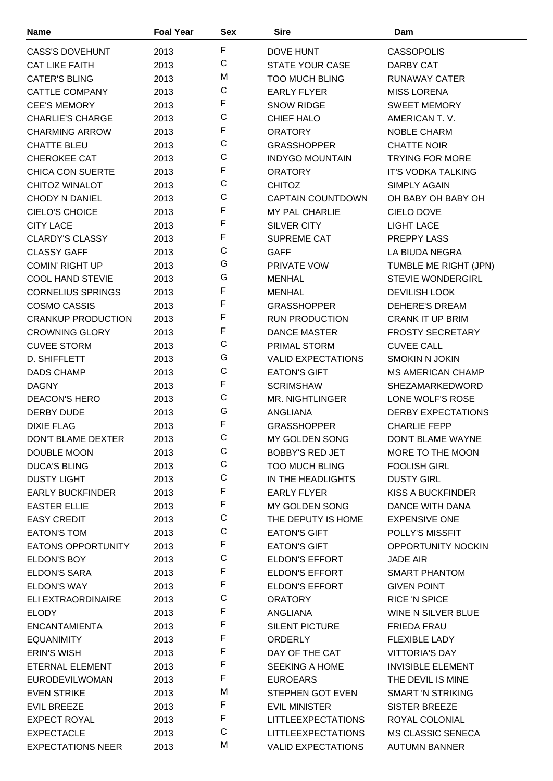| <b>Name</b>               | <b>Foal Year</b> | <b>Sex</b>  | <b>Sire</b>               | Dam                       |
|---------------------------|------------------|-------------|---------------------------|---------------------------|
| <b>CASS'S DOVEHUNT</b>    | 2013             | F           | <b>DOVE HUNT</b>          | <b>CASSOPOLIS</b>         |
| <b>CAT LIKE FAITH</b>     | 2013             | $\mathsf C$ | <b>STATE YOUR CASE</b>    | DARBY CAT                 |
| <b>CATER'S BLING</b>      | 2013             | M           | <b>TOO MUCH BLING</b>     | <b>RUNAWAY CATER</b>      |
| <b>CATTLE COMPANY</b>     | 2013             | $\mathsf C$ | <b>EARLY FLYER</b>        | <b>MISS LORENA</b>        |
| <b>CEE'S MEMORY</b>       | 2013             | F           | <b>SNOW RIDGE</b>         | <b>SWEET MEMORY</b>       |
| <b>CHARLIE'S CHARGE</b>   | 2013             | $\mathsf C$ | <b>CHIEF HALO</b>         | AMERICAN T.V.             |
| <b>CHARMING ARROW</b>     | 2013             | F           | <b>ORATORY</b>            | <b>NOBLE CHARM</b>        |
| <b>CHATTE BLEU</b>        | 2013             | $\mathsf C$ | <b>GRASSHOPPER</b>        | <b>CHATTE NOIR</b>        |
| CHEROKEE CAT              | 2013             | $\mathsf C$ | <b>INDYGO MOUNTAIN</b>    | <b>TRYING FOR MORE</b>    |
| <b>CHICA CON SUERTE</b>   | 2013             | F           | <b>ORATORY</b>            | <b>IT'S VODKA TALKING</b> |
| CHITOZ WINALOT            | 2013             | $\mathsf C$ | <b>CHITOZ</b>             | <b>SIMPLY AGAIN</b>       |
| <b>CHODY N DANIEL</b>     | 2013             | $\mathsf C$ | <b>CAPTAIN COUNTDOWN</b>  | OH BABY OH BABY OH        |
| CIELO'S CHOICE            | 2013             | F           | <b>MY PAL CHARLIE</b>     | <b>CIELO DOVE</b>         |
| <b>CITY LACE</b>          | 2013             | F           | SILVER CITY               | <b>LIGHT LACE</b>         |
| <b>CLARDY'S CLASSY</b>    |                  | F           | <b>SUPREME CAT</b>        | PREPPY LASS               |
| <b>CLASSY GAFF</b>        | 2013             | $\mathsf C$ | <b>GAFF</b>               |                           |
|                           | 2013             | G           |                           | LA BIUDA NEGRA            |
| <b>COMIN' RIGHT UP</b>    | 2013             | G           | <b>PRIVATE VOW</b>        | TUMBLE ME RIGHT (JPN)     |
| <b>COOL HAND STEVIE</b>   | 2013             | F           | <b>MENHAL</b>             | <b>STEVIE WONDERGIRL</b>  |
| <b>CORNELIUS SPRINGS</b>  | 2013             | F           | <b>MENHAL</b>             | <b>DEVILISH LOOK</b>      |
| <b>COSMO CASSIS</b>       | 2013             | F           | <b>GRASSHOPPER</b>        | <b>DEHERE'S DREAM</b>     |
| <b>CRANKUP PRODUCTION</b> | 2013             | F           | <b>RUN PRODUCTION</b>     | <b>CRANK IT UP BRIM</b>   |
| <b>CROWNING GLORY</b>     | 2013             |             | <b>DANCE MASTER</b>       | <b>FROSTY SECRETARY</b>   |
| <b>CUVEE STORM</b>        | 2013             | $\mathsf C$ | PRIMAL STORM              | <b>CUVEE CALL</b>         |
| D. SHIFFLETT              | 2013             | G           | <b>VALID EXPECTATIONS</b> | <b>SMOKIN N JOKIN</b>     |
| <b>DADS CHAMP</b>         | 2013             | $\mathsf C$ | <b>EATON'S GIFT</b>       | <b>MS AMERICAN CHAMP</b>  |
| <b>DAGNY</b>              | 2013             | F           | <b>SCRIMSHAW</b>          | SHEZAMARKEDWORD           |
| <b>DEACON'S HERO</b>      | 2013             | $\mathsf C$ | <b>MR. NIGHTLINGER</b>    | LONE WOLF'S ROSE          |
| DERBY DUDE                | 2013             | G           | ANGLIANA                  | <b>DERBY EXPECTATIONS</b> |
| <b>DIXIE FLAG</b>         | 2013             | F           | <b>GRASSHOPPER</b>        | <b>CHARLIE FEPP</b>       |
| DON'T BLAME DEXTER        | 2013             | $\mathsf C$ | MY GOLDEN SONG            | DON'T BLAME WAYNE         |
| DOUBLE MOON               | 2013             | С           | <b>BOBBY'S RED JET</b>    | MORE TO THE MOON          |
| <b>DUCA'S BLING</b>       | 2013             | C           | <b>TOO MUCH BLING</b>     | <b>FOOLISH GIRL</b>       |
| <b>DUSTY LIGHT</b>        | 2013             | $\mathsf C$ | IN THE HEADLIGHTS         | <b>DUSTY GIRL</b>         |
| <b>EARLY BUCKFINDER</b>   | 2013             | F           | <b>EARLY FLYER</b>        | KISS A BUCKFINDER         |
| <b>EASTER ELLIE</b>       | 2013             | F           | MY GOLDEN SONG            | DANCE WITH DANA           |
| <b>EASY CREDIT</b>        | 2013             | $\mathsf C$ | THE DEPUTY IS HOME        | <b>EXPENSIVE ONE</b>      |
| <b>EATON'S TOM</b>        | 2013             | C           | <b>EATON'S GIFT</b>       | POLLY'S MISSFIT           |
| <b>EATONS OPPORTUNITY</b> | 2013             | F           | <b>EATON'S GIFT</b>       | OPPORTUNITY NOCKIN        |
| ELDON'S BOY               | 2013             | $\mathsf C$ | <b>ELDON'S EFFORT</b>     | <b>JADE AIR</b>           |
| <b>ELDON'S SARA</b>       | 2013             | F           | <b>ELDON'S EFFORT</b>     | SMART PHANTOM             |
| <b>ELDON'S WAY</b>        | 2013             | F           | ELDON'S EFFORT            | <b>GIVEN POINT</b>        |
| ELI EXTRAORDINAIRE        | 2013             | C           | <b>ORATORY</b>            | <b>RICE 'N SPICE</b>      |
| <b>ELODY</b>              | 2013             | F           | ANGLIANA                  | WINE N SILVER BLUE        |
| <b>ENCANTAMIENTA</b>      | 2013             | F           | SILENT PICTURE            | <b>FRIEDA FRAU</b>        |
| <b>EQUANIMITY</b>         | 2013             | F           | <b>ORDERLY</b>            | <b>FLEXIBLE LADY</b>      |
| <b>ERIN'S WISH</b>        | 2013             | F           | DAY OF THE CAT            | <b>VITTORIA'S DAY</b>     |
| ETERNAL ELEMENT           | 2013             | F           | <b>SEEKING A HOME</b>     | <b>INVISIBLE ELEMENT</b>  |
| <b>EURODEVILWOMAN</b>     | 2013             | F           | <b>EUROEARS</b>           | THE DEVIL IS MINE         |
| <b>EVEN STRIKE</b>        | 2013             | M           | <b>STEPHEN GOT EVEN</b>   | <b>SMART 'N STRIKING</b>  |
| <b>EVIL BREEZE</b>        | 2013             | F           | EVIL MINISTER             | <b>SISTER BREEZE</b>      |
| <b>EXPECT ROYAL</b>       | 2013             | F           | <b>LITTLEEXPECTATIONS</b> | ROYAL COLONIAL            |
| <b>EXPECTACLE</b>         | 2013             | C           | <b>LITTLEEXPECTATIONS</b> | <b>MS CLASSIC SENECA</b>  |
| <b>EXPECTATIONS NEER</b>  | 2013             | M           | <b>VALID EXPECTATIONS</b> | <b>AUTUMN BANNER</b>      |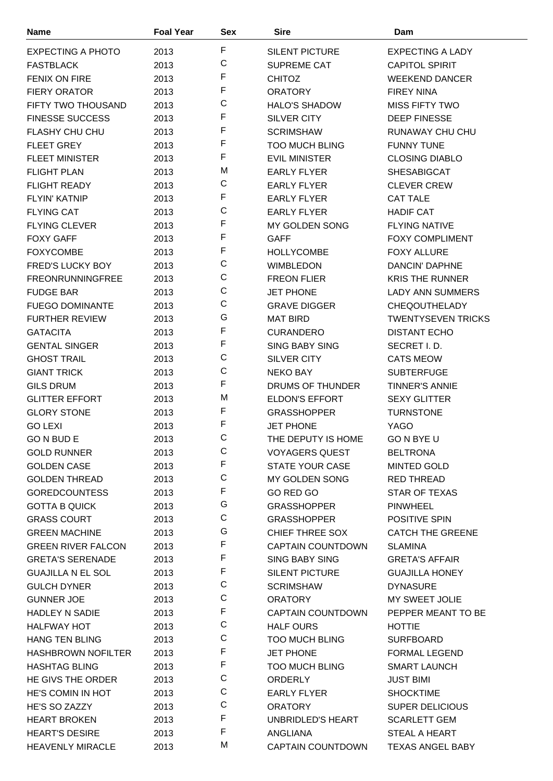| <b>Name</b>               | <b>Foal Year</b> | <b>Sex</b>  | <b>Sire</b>              | Dam                       |
|---------------------------|------------------|-------------|--------------------------|---------------------------|
| EXPECTING A PHOTO         | 2013             | F           | <b>SILENT PICTURE</b>    | <b>EXPECTING A LADY</b>   |
| <b>FASTBLACK</b>          | 2013             | C           | <b>SUPREME CAT</b>       | <b>CAPITOL SPIRIT</b>     |
| <b>FENIX ON FIRE</b>      | 2013             | F           | <b>CHITOZ</b>            | <b>WEEKEND DANCER</b>     |
| <b>FIERY ORATOR</b>       | 2013             | F           | <b>ORATORY</b>           | <b>FIREY NINA</b>         |
| FIFTY TWO THOUSAND        | 2013             | C           | <b>HALO'S SHADOW</b>     | <b>MISS FIFTY TWO</b>     |
| <b>FINESSE SUCCESS</b>    | 2013             | F           | SILVER CITY              | <b>DEEP FINESSE</b>       |
| <b>FLASHY CHU CHU</b>     | 2013             | F           | <b>SCRIMSHAW</b>         | RUNAWAY CHU CHU           |
| <b>FLEET GREY</b>         | 2013             | F           | <b>TOO MUCH BLING</b>    | <b>FUNNY TUNE</b>         |
| <b>FLEET MINISTER</b>     | 2013             | F           | <b>EVIL MINISTER</b>     | <b>CLOSING DIABLO</b>     |
| <b>FLIGHT PLAN</b>        | 2013             | M           | <b>EARLY FLYER</b>       | <b>SHESABIGCAT</b>        |
| <b>FLIGHT READY</b>       | 2013             | C           | <b>EARLY FLYER</b>       | <b>CLEVER CREW</b>        |
| <b>FLYIN' KATNIP</b>      | 2013             | F           | <b>EARLY FLYER</b>       | <b>CAT TALE</b>           |
| <b>FLYING CAT</b>         | 2013             | C           | <b>EARLY FLYER</b>       | <b>HADIF CAT</b>          |
| <b>FLYING CLEVER</b>      | 2013             | F           | MY GOLDEN SONG           | <b>FLYING NATIVE</b>      |
| <b>FOXY GAFF</b>          | 2013             | F           | <b>GAFF</b>              | <b>FOXY COMPLIMENT</b>    |
| <b>FOXYCOMBE</b>          | 2013             | F           | <b>HOLLYCOMBE</b>        | <b>FOXY ALLURE</b>        |
|                           |                  | C           |                          |                           |
| FRED'S LUCKY BOY          | 2013             | $\mathsf C$ | <b>WIMBLEDON</b>         | DANCIN' DAPHNE            |
| <b>FREONRUNNINGFREE</b>   | 2013             | C           | <b>FREON FLIER</b>       | <b>KRIS THE RUNNER</b>    |
| <b>FUDGE BAR</b>          | 2013             | C           | <b>JET PHONE</b>         | <b>LADY ANN SUMMERS</b>   |
| <b>FUEGO DOMINANTE</b>    | 2013             | G           | <b>GRAVE DIGGER</b>      | <b>CHEQOUTHELADY</b>      |
| <b>FURTHER REVIEW</b>     | 2013             | F           | <b>MAT BIRD</b>          | <b>TWENTYSEVEN TRICKS</b> |
| <b>GATACITA</b>           | 2013             | F           | <b>CURANDERO</b>         | <b>DISTANT ECHO</b>       |
| <b>GENTAL SINGER</b>      | 2013             | C           | <b>SING BABY SING</b>    | SECRET I.D.               |
| <b>GHOST TRAIL</b>        | 2013             |             | <b>SILVER CITY</b>       | <b>CATS MEOW</b>          |
| <b>GIANT TRICK</b>        | 2013             | C           | <b>NEKO BAY</b>          | <b>SUBTERFUGE</b>         |
| <b>GILS DRUM</b>          | 2013             | F           | DRUMS OF THUNDER         | <b>TINNER'S ANNIE</b>     |
| <b>GLITTER EFFORT</b>     | 2013             | M           | <b>ELDON'S EFFORT</b>    | <b>SEXY GLITTER</b>       |
| <b>GLORY STONE</b>        | 2013             | F           | <b>GRASSHOPPER</b>       | <b>TURNSTONE</b>          |
| <b>GO LEXI</b>            | 2013             | F           | <b>JET PHONE</b>         | <b>YAGO</b>               |
| GO N BUD E                | 2013             | C           | THE DEPUTY IS HOME       | <b>GO N BYE U</b>         |
| <b>GOLD RUNNER</b>        | 2013             | С           | <b>VOYAGERS QUEST</b>    | <b>BELTRONA</b>           |
| <b>GOLDEN CASE</b>        | 2013             | F           | <b>STATE YOUR CASE</b>   | MINTED GOLD               |
| <b>GOLDEN THREAD</b>      | 2013             | $\mathsf C$ | MY GOLDEN SONG           | <b>RED THREAD</b>         |
| <b>GOREDCOUNTESS</b>      | 2013             | F           | GO RED GO                | <b>STAR OF TEXAS</b>      |
| <b>GOTTA B QUICK</b>      | 2013             | G           | <b>GRASSHOPPER</b>       | <b>PINWHEEL</b>           |
| <b>GRASS COURT</b>        | 2013             | C           | <b>GRASSHOPPER</b>       | <b>POSITIVE SPIN</b>      |
| <b>GREEN MACHINE</b>      | 2013             | G           | CHIEF THREE SOX          | <b>CATCH THE GREENE</b>   |
| <b>GREEN RIVER FALCON</b> | 2013             | F           | <b>CAPTAIN COUNTDOWN</b> | <b>SLAMINA</b>            |
| <b>GRETA'S SERENADE</b>   | 2013             | F           | <b>SING BABY SING</b>    | <b>GRETA'S AFFAIR</b>     |
| <b>GUAJILLA N EL SOL</b>  | 2013             | F           | <b>SILENT PICTURE</b>    | <b>GUAJILLA HONEY</b>     |
| <b>GULCH DYNER</b>        | 2013             | C           | <b>SCRIMSHAW</b>         | <b>DYNASURE</b>           |
| <b>GUNNER JOE</b>         | 2013             | C           | <b>ORATORY</b>           | MY SWEET JOLIE            |
| HADLEY N SADIE            | 2013             | F           | <b>CAPTAIN COUNTDOWN</b> | PEPPER MEANT TO BE        |
| <b>HALFWAY HOT</b>        | 2013             | C           | <b>HALF OURS</b>         | <b>HOTTIE</b>             |
| <b>HANG TEN BLING</b>     | 2013             | C           | <b>TOO MUCH BLING</b>    | <b>SURFBOARD</b>          |
| <b>HASHBROWN NOFILTER</b> | 2013             | F           | <b>JET PHONE</b>         | <b>FORMAL LEGEND</b>      |
| <b>HASHTAG BLING</b>      | 2013             | F           | <b>TOO MUCH BLING</b>    | <b>SMART LAUNCH</b>       |
| HE GIVS THE ORDER         | 2013             | $\mathsf C$ | <b>ORDERLY</b>           | <b>JUST BIMI</b>          |
| HE'S COMIN IN HOT         | 2013             | C           | <b>EARLY FLYER</b>       | <b>SHOCKTIME</b>          |
| HE'S SO ZAZZY             | 2013             | C           | <b>ORATORY</b>           | <b>SUPER DELICIOUS</b>    |
| <b>HEART BROKEN</b>       | 2013             | F           | UNBRIDLED'S HEART        | <b>SCARLETT GEM</b>       |
| <b>HEART'S DESIRE</b>     | 2013             | F           | ANGLIANA                 | STEAL A HEART             |
| <b>HEAVENLY MIRACLE</b>   | 2013             | M           | CAPTAIN COUNTDOWN        | TEXAS ANGEL BABY          |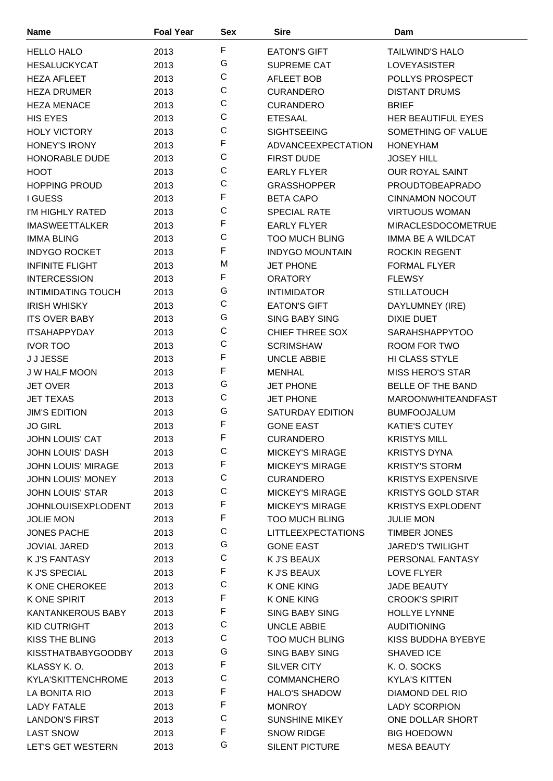| <b>Name</b>               | <b>Foal Year</b> | <b>Sex</b>  | <b>Sire</b>                               | Dam                                  |
|---------------------------|------------------|-------------|-------------------------------------------|--------------------------------------|
| <b>HELLO HALO</b>         | 2013             | F           | <b>EATON'S GIFT</b>                       | <b>TAILWIND'S HALO</b>               |
| <b>HESALUCKYCAT</b>       | 2013             | G           | SUPREME CAT                               | LOVEYASISTER                         |
| <b>HEZA AFLEET</b>        | 2013             | $\mathsf C$ | <b>AFLEET BOB</b>                         | POLLYS PROSPECT                      |
| <b>HEZA DRUMER</b>        | 2013             | C           | <b>CURANDERO</b>                          | <b>DISTANT DRUMS</b>                 |
| <b>HEZA MENACE</b>        | 2013             | $\mathsf C$ | <b>CURANDERO</b>                          | <b>BRIEF</b>                         |
| <b>HIS EYES</b>           | 2013             | C           | <b>ETESAAL</b>                            | HER BEAUTIFUL EYES                   |
| <b>HOLY VICTORY</b>       | 2013             | C           | <b>SIGHTSEEING</b>                        | SOMETHING OF VALUE                   |
| <b>HONEY'S IRONY</b>      | 2013             | F           | ADVANCEEXPECTATION                        | <b>HONEYHAM</b>                      |
| HONORABLE DUDE            | 2013             | C           | <b>FIRST DUDE</b>                         | <b>JOSEY HILL</b>                    |
| <b>HOOT</b>               | 2013             | $\mathsf C$ | <b>EARLY FLYER</b>                        | OUR ROYAL SAINT                      |
| <b>HOPPING PROUD</b>      | 2013             | C           | <b>GRASSHOPPER</b>                        | PROUDTOBEAPRADO                      |
| <b>I GUESS</b>            | 2013             | F           | <b>BETA CAPO</b>                          | <b>CINNAMON NOCOUT</b>               |
| I'M HIGHLY RATED          | 2013             | $\mathsf C$ | <b>SPECIAL RATE</b>                       | <b>VIRTUOUS WOMAN</b>                |
| <b>IMASWEETTALKER</b>     | 2013             | F           | <b>EARLY FLYER</b>                        | <b>MIRACLESDOCOMETRUE</b>            |
| <b>IMMA BLING</b>         | 2013             | C           | <b>TOO MUCH BLING</b>                     | <b>IMMA BE A WILDCAT</b>             |
| <b>INDYGO ROCKET</b>      | 2013             | F           | <b>INDYGO MOUNTAIN</b>                    | <b>ROCKIN REGENT</b>                 |
| <b>INFINITE FLIGHT</b>    | 2013             | M           | <b>JET PHONE</b>                          | <b>FORMAL FLYER</b>                  |
| <b>INTERCESSION</b>       | 2013             | F           | <b>ORATORY</b>                            | <b>FLEWSY</b>                        |
| <b>INTIMIDATING TOUCH</b> |                  | G           |                                           |                                      |
| <b>IRISH WHISKY</b>       | 2013             | $\mathsf C$ | <b>INTIMIDATOR</b><br><b>EATON'S GIFT</b> | <b>STILLATOUCH</b>                   |
| <b>ITS OVER BABY</b>      | 2013             | G           | <b>SING BABY SING</b>                     | DAYLUMNEY (IRE)<br><b>DIXIE DUET</b> |
|                           | 2013             | C           |                                           |                                      |
| <b>ITSAHAPPYDAY</b>       | 2013             | $\mathsf C$ | <b>CHIEF THREE SOX</b>                    | <b>SARAHSHAPPYTOO</b>                |
| <b>IVOR TOO</b>           | 2013             | F           | <b>SCRIMSHAW</b>                          | ROOM FOR TWO                         |
| J J JESSE                 | 2013             | F           | <b>UNCLE ABBIE</b>                        | HI CLASS STYLE                       |
| J W HALF MOON             | 2013             | G           | <b>MENHAL</b>                             | <b>MISS HERO'S STAR</b>              |
| <b>JET OVER</b>           | 2013             | C           | <b>JET PHONE</b>                          | BELLE OF THE BAND                    |
| <b>JET TEXAS</b>          | 2013             | G           | <b>JET PHONE</b>                          | <b>MAROONWHITEANDFAST</b>            |
| <b>JIM'S EDITION</b>      | 2013             | F           | SATURDAY EDITION                          | <b>BUMFOOJALUM</b>                   |
| <b>JO GIRL</b>            | 2013             | F           | <b>GONE EAST</b>                          | <b>KATIE'S CUTEY</b>                 |
| <b>JOHN LOUIS' CAT</b>    | 2013             | C           | <b>CURANDERO</b>                          | <b>KRISTYS MILL</b>                  |
| <b>JOHN LOUIS' DASH</b>   | 2013             | F           | <b>MICKEY'S MIRAGE</b>                    | <b>KRISTYS DYNA</b>                  |
| <b>JOHN LOUIS' MIRAGE</b> | 2013             | $\mathsf C$ | <b>MICKEY'S MIRAGE</b>                    | <b>KRISTY'S STORM</b>                |
| <b>JOHN LOUIS' MONEY</b>  | 2013             |             | <b>CURANDERO</b>                          | <b>KRISTYS EXPENSIVE</b>             |
| <b>JOHN LOUIS' STAR</b>   | 2013             | C           | <b>MICKEY'S MIRAGE</b>                    | <b>KRISTYS GOLD STAR</b>             |
| <b>JOHNLOUISEXPLODENT</b> | 2013             | F           | <b>MICKEY'S MIRAGE</b>                    | <b>KRISTYS EXPLODENT</b>             |
| <b>JOLIE MON</b>          | 2013             | F           | <b>TOO MUCH BLING</b>                     | <b>JULIE MON</b>                     |
| <b>JONES PACHE</b>        | 2013             | C           | <b>LITTLEEXPECTATIONS</b>                 | <b>TIMBER JONES</b>                  |
| <b>JOVIAL JARED</b>       | 2013             | G           | <b>GONE EAST</b>                          | <b>JARED'S TWILIGHT</b>              |
| K J'S FANTASY             | 2013             | C           | K J'S BEAUX                               | PERSONAL FANTASY                     |
| K J'S SPECIAL             | 2013             | F           | K J'S BEAUX                               | LOVE FLYER                           |
| K ONE CHEROKEE            | 2013             | C           | K ONE KING                                | <b>JADE BEAUTY</b>                   |
| K ONE SPIRIT              | 2013             | F           | K ONE KING                                | <b>CROOK'S SPIRIT</b>                |
| <b>KANTANKEROUS BABY</b>  | 2013             | F           | <b>SING BABY SING</b>                     | HOLLYE LYNNE                         |
| KID CUTRIGHT              | 2013             | C           | <b>UNCLE ABBIE</b>                        | <b>AUDITIONING</b>                   |
| KISS THE BLING            | 2013             | $\mathsf C$ | <b>TOO MUCH BLING</b>                     | KISS BUDDHA BYEBYE                   |
| <b>KISSTHATBABYGOODBY</b> | 2013             | G           | <b>SING BABY SING</b>                     | SHAVED ICE                           |
| KLASSY K.O.               | 2013             | F           | SILVER CITY                               | K.O. SOCKS                           |
| <b>KYLA'SKITTENCHROME</b> | 2013             | $\mathsf C$ | <b>COMMANCHERO</b>                        | <b>KYLA'S KITTEN</b>                 |
| LA BONITA RIO             | 2013             | F           | <b>HALO'S SHADOW</b>                      | DIAMOND DEL RIO                      |
| <b>LADY FATALE</b>        | 2013             | F           | <b>MONROY</b>                             | <b>LADY SCORPION</b>                 |
| <b>LANDON'S FIRST</b>     | 2013             | C           | <b>SUNSHINE MIKEY</b>                     | ONE DOLLAR SHORT                     |
| <b>LAST SNOW</b>          | 2013             | F           | <b>SNOW RIDGE</b>                         | <b>BIG HOEDOWN</b>                   |
| LET'S GET WESTERN         | 2013             | G           | SILENT PICTURE                            | <b>MESA BEAUTY</b>                   |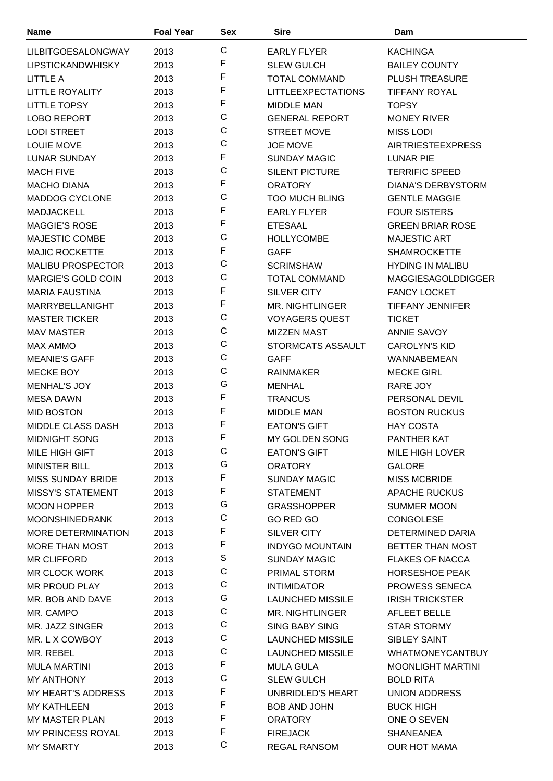| <b>Name</b>               | <b>Foal Year</b> | <b>Sex</b>  | <b>Sire</b>               | Dam                       |
|---------------------------|------------------|-------------|---------------------------|---------------------------|
| <b>LILBITGOESALONGWAY</b> | 2013             | $\mathsf C$ | <b>EARLY FLYER</b>        | <b>KACHINGA</b>           |
| <b>LIPSTICKANDWHISKY</b>  | 2013             | F           | <b>SLEW GULCH</b>         | <b>BAILEY COUNTY</b>      |
| <b>LITTLE A</b>           | 2013             | F           | <b>TOTAL COMMAND</b>      | <b>PLUSH TREASURE</b>     |
| <b>LITTLE ROYALITY</b>    | 2013             | F           | <b>LITTLEEXPECTATIONS</b> | <b>TIFFANY ROYAL</b>      |
| <b>LITTLE TOPSY</b>       | 2013             | F           | <b>MIDDLE MAN</b>         | <b>TOPSY</b>              |
| <b>LOBO REPORT</b>        | 2013             | $\mathsf C$ | <b>GENERAL REPORT</b>     | <b>MONEY RIVER</b>        |
| <b>LODI STREET</b>        | 2013             | C           | <b>STREET MOVE</b>        | <b>MISS LODI</b>          |
| <b>LOUIE MOVE</b>         | 2013             | $\mathsf C$ | <b>JOE MOVE</b>           | <b>AIRTRIESTEEXPRESS</b>  |
| <b>LUNAR SUNDAY</b>       | 2013             | F           | <b>SUNDAY MAGIC</b>       | LUNAR PIE                 |
| <b>MACH FIVE</b>          | 2013             | C           | <b>SILENT PICTURE</b>     | <b>TERRIFIC SPEED</b>     |
| <b>MACHO DIANA</b>        | 2013             | F           | <b>ORATORY</b>            | <b>DIANA'S DERBYSTORM</b> |
| MADDOG CYCLONE            | 2013             | C           | <b>TOO MUCH BLING</b>     | <b>GENTLE MAGGIE</b>      |
| <b>MADJACKELL</b>         |                  | F           | <b>EARLY FLYER</b>        | <b>FOUR SISTERS</b>       |
| <b>MAGGIE'S ROSE</b>      | 2013<br>2013     | F           |                           | <b>GREEN BRIAR ROSE</b>   |
| MAJESTIC COMBE            |                  | C           | <b>ETESAAL</b>            |                           |
|                           | 2013             | F           | <b>HOLLYCOMBE</b>         | <b>MAJESTIC ART</b>       |
| <b>MAJIC ROCKETTE</b>     | 2013             | C           | <b>GAFF</b>               | <b>SHAMROCKETTE</b>       |
| <b>MALIBU PROSPECTOR</b>  | 2013             | $\mathsf C$ | <b>SCRIMSHAW</b>          | <b>HYDING IN MALIBU</b>   |
| <b>MARGIE'S GOLD COIN</b> | 2013             | F           | <b>TOTAL COMMAND</b>      | <b>MAGGIESAGOLDDIGGER</b> |
| <b>MARIA FAUSTINA</b>     | 2013             | F           | <b>SILVER CITY</b>        | <b>FANCY LOCKET</b>       |
| MARRYBELLANIGHT           | 2013             |             | <b>MR. NIGHTLINGER</b>    | <b>TIFFANY JENNIFER</b>   |
| <b>MASTER TICKER</b>      | 2013             | $\mathsf C$ | <b>VOYAGERS QUEST</b>     | <b>TICKET</b>             |
| <b>MAV MASTER</b>         | 2013             | C           | <b>MIZZEN MAST</b>        | <b>ANNIE SAVOY</b>        |
| <b>MAX AMMO</b>           | 2013             | $\mathsf C$ | STORMCATS ASSAULT         | <b>CAROLYN'S KID</b>      |
| <b>MEANIE'S GAFF</b>      | 2013             | C           | <b>GAFF</b>               | <b>WANNABEMEAN</b>        |
| MECKE BOY                 | 2013             | C           | <b>RAINMAKER</b>          | <b>MECKE GIRL</b>         |
| <b>MENHAL'S JOY</b>       | 2013             | G           | <b>MENHAL</b>             | RARE JOY                  |
| <b>MESA DAWN</b>          | 2013             | F           | <b>TRANCUS</b>            | PERSONAL DEVIL            |
| <b>MID BOSTON</b>         | 2013             | F           | <b>MIDDLE MAN</b>         | <b>BOSTON RUCKUS</b>      |
| MIDDLE CLASS DASH         | 2013             | F           | <b>EATON'S GIFT</b>       | <b>HAY COSTA</b>          |
| <b>MIDNIGHT SONG</b>      | 2013             | F           | <b>MY GOLDEN SONG</b>     | <b>PANTHER KAT</b>        |
| MILE HIGH GIFT            | 2013             | С           | <b>EATON'S GIFT</b>       | MILE HIGH LOVER           |
| <b>MINISTER BILL</b>      | 2013             | G           | <b>ORATORY</b>            | <b>GALORE</b>             |
| <b>MISS SUNDAY BRIDE</b>  | 2013             | F           | <b>SUNDAY MAGIC</b>       | <b>MISS MCBRIDE</b>       |
| <b>MISSY'S STATEMENT</b>  | 2013             | F           | <b>STATEMENT</b>          | <b>APACHE RUCKUS</b>      |
| <b>MOON HOPPER</b>        | 2013             | G           | <b>GRASSHOPPER</b>        | <b>SUMMER MOON</b>        |
| <b>MOONSHINEDRANK</b>     | 2013             | С           | GO RED GO                 | <b>CONGOLESE</b>          |
| MORE DETERMINATION        | 2013             | F           | <b>SILVER CITY</b>        | DETERMINED DARIA          |
| <b>MORE THAN MOST</b>     | 2013             | F           | <b>INDYGO MOUNTAIN</b>    | BETTER THAN MOST          |
| <b>MR CLIFFORD</b>        | 2013             | S           | <b>SUNDAY MAGIC</b>       | <b>FLAKES OF NACCA</b>    |
| <b>MR CLOCK WORK</b>      | 2013             | С           | PRIMAL STORM              | <b>HORSESHOE PEAK</b>     |
| MR PROUD PLAY             | 2013             | С           | <b>INTIMIDATOR</b>        | <b>PROWESS SENECA</b>     |
| MR. BOB AND DAVE          | 2013             | G           | <b>LAUNCHED MISSILE</b>   | <b>IRISH TRICKSTER</b>    |
| MR. CAMPO                 | 2013             | С           | MR. NIGHTLINGER           | AFLEET BELLE              |
| MR. JAZZ SINGER           | 2013             | $\mathsf C$ | <b>SING BABY SING</b>     | <b>STAR STORMY</b>        |
| MR. L X COWBOY            | 2013             | $\mathsf C$ | <b>LAUNCHED MISSILE</b>   | SIBLEY SAINT              |
| MR. REBEL                 | 2013             | $\mathsf C$ | <b>LAUNCHED MISSILE</b>   | <b>WHATMONEYCANTBUY</b>   |
| <b>MULA MARTINI</b>       | 2013             | F           | <b>MULA GULA</b>          | <b>MOONLIGHT MARTINI</b>  |
| MY ANTHONY                | 2013             | $\mathsf C$ | <b>SLEW GULCH</b>         | <b>BOLD RITA</b>          |
| <b>MY HEART'S ADDRESS</b> | 2013             | F           | UNBRIDLED'S HEART         | <b>UNION ADDRESS</b>      |
| <b>MY KATHLEEN</b>        | 2013             | F           | <b>BOB AND JOHN</b>       | <b>BUCK HIGH</b>          |
| <b>MY MASTER PLAN</b>     | 2013             | F           | <b>ORATORY</b>            | ONE O SEVEN               |
| <b>MY PRINCESS ROYAL</b>  | 2013             | F           | <b>FIREJACK</b>           | SHANEANEA                 |
| <b>MY SMARTY</b>          | 2013             | С           | <b>REGAL RANSOM</b>       | <b>OUR HOT MAMA</b>       |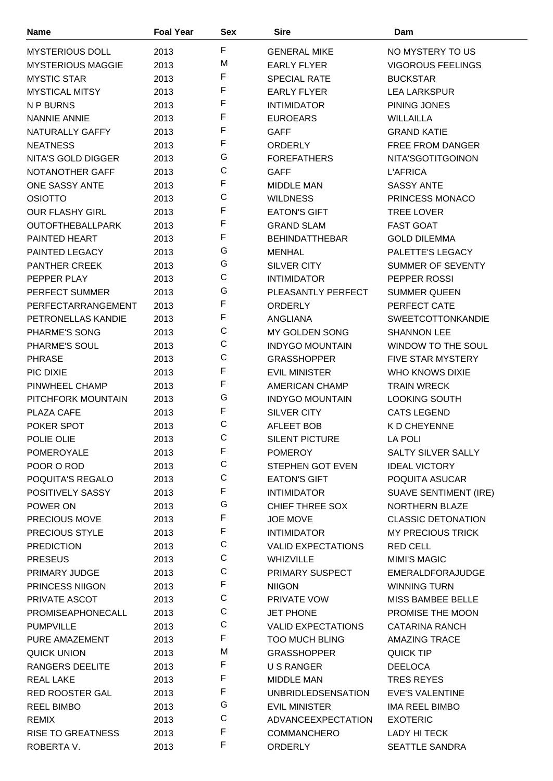| Name                     | <b>Foal Year</b> | <b>Sex</b>   | <b>Sire</b>               | Dam                          |
|--------------------------|------------------|--------------|---------------------------|------------------------------|
| <b>MYSTERIOUS DOLL</b>   | 2013             | F            | <b>GENERAL MIKE</b>       | NO MYSTERY TO US             |
| <b>MYSTERIOUS MAGGIE</b> | 2013             | M            | <b>EARLY FLYER</b>        | <b>VIGOROUS FEELINGS</b>     |
| <b>MYSTIC STAR</b>       | 2013             | F            | <b>SPECIAL RATE</b>       | <b>BUCKSTAR</b>              |
| <b>MYSTICAL MITSY</b>    | 2013             | F            | <b>EARLY FLYER</b>        | <b>LEA LARKSPUR</b>          |
| N P BURNS                | 2013             | F            | <b>INTIMIDATOR</b>        | PINING JONES                 |
| <b>NANNIE ANNIE</b>      | 2013             | F            | <b>EUROEARS</b>           | <b>WILLAILLA</b>             |
| NATURALLY GAFFY          | 2013             | F            | <b>GAFF</b>               | <b>GRAND KATIE</b>           |
| <b>NEATNESS</b>          | 2013             | F            | <b>ORDERLY</b>            | <b>FREE FROM DANGER</b>      |
| NITA'S GOLD DIGGER       | 2013             | G            | <b>FOREFATHERS</b>        | NITA'SGOTITGOINON            |
| NOTANOTHER GAFF          | 2013             | C            | <b>GAFF</b>               | <b>L'AFRICA</b>              |
| ONE SASSY ANTE           | 2013             | F            | <b>MIDDLE MAN</b>         | <b>SASSY ANTE</b>            |
| <b>OSIOTTO</b>           | 2013             | $\mathsf C$  | <b>WILDNESS</b>           | PRINCESS MONACO              |
| <b>OUR FLASHY GIRL</b>   | 2013             | F            | <b>EATON'S GIFT</b>       | <b>TREE LOVER</b>            |
| <b>OUTOFTHEBALLPARK</b>  | 2013             | F            | <b>GRAND SLAM</b>         | <b>FAST GOAT</b>             |
| <b>PAINTED HEART</b>     | 2013             | F            | <b>BEHINDATTHEBAR</b>     | <b>GOLD DILEMMA</b>          |
| PAINTED LEGACY           | 2013             | G            | <b>MENHAL</b>             | PALETTE'S LEGACY             |
| <b>PANTHER CREEK</b>     | 2013             | G            | <b>SILVER CITY</b>        | SUMMER OF SEVENTY            |
| PEPPER PLAY              | 2013             | $\mathsf C$  | <b>INTIMIDATOR</b>        | PEPPER ROSSI                 |
| PERFECT SUMMER           | 2013             | G            | PLEASANTLY PERFECT        | <b>SUMMER QUEEN</b>          |
| PERFECTARRANGEMENT       | 2013             | F            | ORDERLY                   | PERFECT CATE                 |
| PETRONELLAS KANDIE       | 2013             | F            | <b>ANGLIANA</b>           | <b>SWEETCOTTONKANDIE</b>     |
| PHARME'S SONG            | 2013             | C            | MY GOLDEN SONG            | <b>SHANNON LEE</b>           |
| PHARME'S SOUL            | 2013             | $\mathsf C$  | <b>INDYGO MOUNTAIN</b>    | WINDOW TO THE SOUL           |
| <b>PHRASE</b>            | 2013             | C            | <b>GRASSHOPPER</b>        | <b>FIVE STAR MYSTERY</b>     |
| PIC DIXIE                | 2013             | F            | <b>EVIL MINISTER</b>      | WHO KNOWS DIXIE              |
| PINWHEEL CHAMP           | 2013             | F            | AMERICAN CHAMP            | <b>TRAIN WRECK</b>           |
| PITCHFORK MOUNTAIN       | 2013             | G            | <b>INDYGO MOUNTAIN</b>    | <b>LOOKING SOUTH</b>         |
| PLAZA CAFE               | 2013             | F            | <b>SILVER CITY</b>        | <b>CATS LEGEND</b>           |
| POKER SPOT               | 2013             | C            | <b>AFLEET BOB</b>         | K D CHEYENNE                 |
| POLIE OLIE               | 2013             | $\mathsf{C}$ | <b>SILENT PICTURE</b>     | <b>LA POLI</b>               |
| POMEROYALE               | 2013             | F            | <b>POMEROY</b>            | <b>SALTY SILVER SALLY</b>    |
| POOR O ROD               | 2013             | C            | <b>STEPHEN GOT EVEN</b>   | <b>IDEAL VICTORY</b>         |
| POQUITA'S REGALO         | 2013             | $\mathsf C$  | <b>EATON'S GIFT</b>       | POQUITA ASUCAR               |
| POSITIVELY SASSY         | 2013             | F            | <b>INTIMIDATOR</b>        | <b>SUAVE SENTIMENT (IRE)</b> |
| POWER ON                 | 2013             | G            | <b>CHIEF THREE SOX</b>    | NORTHERN BLAZE               |
| <b>PRECIOUS MOVE</b>     | 2013             | F            | <b>JOE MOVE</b>           | <b>CLASSIC DETONATION</b>    |
| PRECIOUS STYLE           | 2013             | F            | <b>INTIMIDATOR</b>        | <b>MY PRECIOUS TRICK</b>     |
| <b>PREDICTION</b>        | 2013             | $\mathsf C$  | <b>VALID EXPECTATIONS</b> | <b>RED CELL</b>              |
| <b>PRESEUS</b>           | 2013             | C            | <b>WHIZVILLE</b>          | <b>MIMI'S MAGIC</b>          |
| PRIMARY JUDGE            | 2013             | $\mathsf C$  | PRIMARY SUSPECT           | EMERALDFORAJUDGE             |
| PRINCESS NIIGON          | 2013             | F            | <b>NIIGON</b>             | <b>WINNING TURN</b>          |
| PRIVATE ASCOT            | 2013             | $\mathsf C$  | <b>PRIVATE VOW</b>        | MISS BAMBEE BELLE            |
| PROMISEAPHONECALL        | 2013             | $\mathsf C$  | <b>JET PHONE</b>          | PROMISE THE MOON             |
| <b>PUMPVILLE</b>         | 2013             | $\mathsf C$  | <b>VALID EXPECTATIONS</b> | <b>CATARINA RANCH</b>        |
| PURE AMAZEMENT           | 2013             | F            | <b>TOO MUCH BLING</b>     | <b>AMAZING TRACE</b>         |
| <b>QUICK UNION</b>       | 2013             | M            | <b>GRASSHOPPER</b>        | <b>QUICK TIP</b>             |
| RANGERS DEELITE          | 2013             | F            | U S RANGER                | <b>DEELOCA</b>               |
| <b>REAL LAKE</b>         | 2013             | F            | <b>MIDDLE MAN</b>         | <b>TRES REYES</b>            |
| <b>RED ROOSTER GAL</b>   | 2013             | F            | <b>UNBRIDLEDSENSATION</b> | <b>EVE'S VALENTINE</b>       |
| <b>REEL BIMBO</b>        | 2013             | G            | <b>EVIL MINISTER</b>      | IMA REEL BIMBO               |
| <b>REMIX</b>             | 2013             | C            | ADVANCEEXPECTATION        | <b>EXOTERIC</b>              |
| <b>RISE TO GREATNESS</b> | 2013             | F            | <b>COMMANCHERO</b>        | LADY HI TECK                 |
| ROBERTA V.               | 2013             | F            | ORDERLY                   | <b>SEATTLE SANDRA</b>        |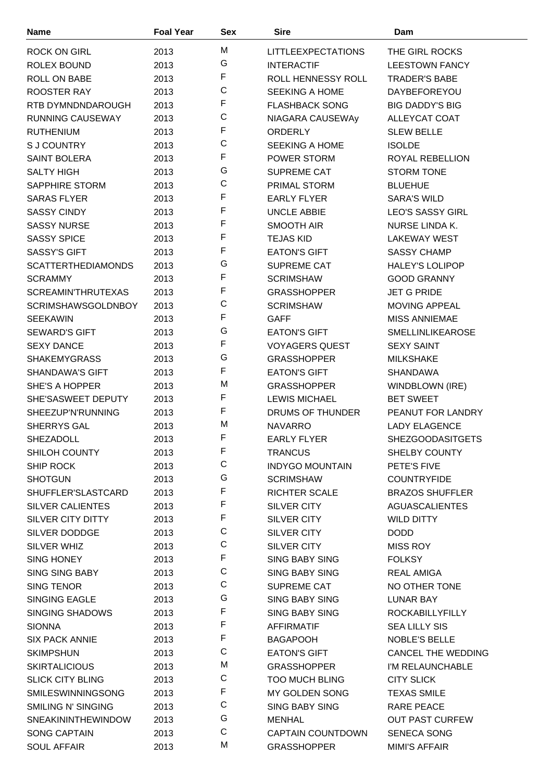| <b>Name</b>                             | <b>Foal Year</b> | Sex              | <b>Sire</b>                             | Dam                              |
|-----------------------------------------|------------------|------------------|-----------------------------------------|----------------------------------|
| <b>ROCK ON GIRL</b>                     | 2013             | M                | <b>LITTLEEXPECTATIONS</b>               | THE GIRL ROCKS                   |
| ROLEX BOUND                             | 2013             | G                | <b>INTERACTIF</b>                       | <b>LEESTOWN FANCY</b>            |
| ROLL ON BABE                            | 2013             | $\mathsf F$      | ROLL HENNESSY ROLL                      | <b>TRADER'S BABE</b>             |
| ROOSTER RAY                             | 2013             | C                | <b>SEEKING A HOME</b>                   | DAYBEFOREYOU                     |
| RTB DYMNDNDAROUGH                       | 2013             | $\mathsf F$      | <b>FLASHBACK SONG</b>                   | <b>BIG DADDY'S BIG</b>           |
| <b>RUNNING CAUSEWAY</b>                 | 2013             | $\mathsf C$      | NIAGARA CAUSEWAy                        | ALLEYCAT COAT                    |
| <b>RUTHENIUM</b>                        | 2013             | F                | ORDERLY                                 | <b>SLEW BELLE</b>                |
| <b>SJ COUNTRY</b>                       | 2013             | $\mathsf C$      | <b>SEEKING A HOME</b>                   | <b>ISOLDE</b>                    |
| <b>SAINT BOLERA</b>                     | 2013             | $\mathsf F$      | POWER STORM                             | ROYAL REBELLION                  |
| <b>SALTY HIGH</b>                       | 2013             | G                | <b>SUPREME CAT</b>                      | <b>STORM TONE</b>                |
| <b>SAPPHIRE STORM</b>                   | 2013             | C                | PRIMAL STORM                            | <b>BLUEHUE</b>                   |
| <b>SARAS FLYER</b>                      | 2013             | F                | <b>EARLY FLYER</b>                      | <b>SARA'S WILD</b>               |
| <b>SASSY CINDY</b>                      | 2013             | $\mathsf F$      | <b>UNCLE ABBIE</b>                      | <b>LEO'S SASSY GIRL</b>          |
| <b>SASSY NURSE</b>                      | 2013             | $\mathsf F$      | <b>SMOOTH AIR</b>                       | NURSE LINDA K.                   |
| <b>SASSY SPICE</b>                      | 2013             | $\mathsf F$      | <b>TEJAS KID</b>                        | <b>LAKEWAY WEST</b>              |
| <b>SASSY'S GIFT</b>                     | 2013             | $\mathsf F$      | <b>EATON'S GIFT</b>                     | <b>SASSY CHAMP</b>               |
| <b>SCATTERTHEDIAMONDS</b>               | 2013             | G                | <b>SUPREME CAT</b>                      | <b>HALEY'S LOLIPOP</b>           |
| <b>SCRAMMY</b>                          | 2013             | $\mathsf F$      | <b>SCRIMSHAW</b>                        | <b>GOOD GRANNY</b>               |
| <b>SCREAMIN'THRUTEXAS</b>               | 2013             | $\mathsf F$      | <b>GRASSHOPPER</b>                      | <b>JET G PRIDE</b>               |
| <b>SCRIMSHAWSGOLDNBOY</b>               | 2013             | C                | <b>SCRIMSHAW</b>                        | <b>MOVING APPEAL</b>             |
| <b>SEEKAWIN</b>                         | 2013             | $\mathsf F$      | <b>GAFF</b>                             | <b>MISS ANNIEMAE</b>             |
| <b>SEWARD'S GIFT</b>                    | 2013             | G                | <b>EATON'S GIFT</b>                     | <b>SMELLINLIKEAROSE</b>          |
| <b>SEXY DANCE</b>                       | 2013             | $\mathsf F$      | <b>VOYAGERS QUEST</b>                   | <b>SEXY SAINT</b>                |
| <b>SHAKEMYGRASS</b>                     | 2013             | G                | <b>GRASSHOPPER</b>                      | <b>MILKSHAKE</b>                 |
| <b>SHANDAWA'S GIFT</b>                  | 2013             | $\mathsf F$      | <b>EATON'S GIFT</b>                     | <b>SHANDAWA</b>                  |
| SHE'S A HOPPER                          | 2013             | M                | <b>GRASSHOPPER</b>                      | WINDBLOWN (IRE)                  |
| SHE'SASWEET DEPUTY                      | 2013             | F                | <b>LEWIS MICHAEL</b>                    | <b>BET SWEET</b>                 |
| SHEEZUP'N'RUNNING                       | 2013             | F                | <b>DRUMS OF THUNDER</b>                 | PEANUT FOR LANDRY                |
| SHERRYS GAL                             | 2013             | M                | <b>NAVARRO</b>                          | <b>LADY ELAGENCE</b>             |
| SHEZADOLL                               | 2013             | $\mathsf F$      | <b>EARLY FLYER</b>                      | <b>SHEZGOODASITGETS</b>          |
| SHILOH COUNTY                           | 2013             | F                | <b>TRANCUS</b>                          | <b>SHELBY COUNTY</b>             |
| SHIP ROCK                               | 2013             | C                | <b>INDYGO MOUNTAIN</b>                  | PETE'S FIVE                      |
| <b>SHOTGUN</b>                          | 2013             | G                | <b>SCRIMSHAW</b>                        | <b>COUNTRYFIDE</b>               |
| SHUFFLER'SLASTCARD                      | 2013             | $\mathsf F$      | RICHTER SCALE                           | <b>BRAZOS SHUFFLER</b>           |
| <b>SILVER CALIENTES</b>                 | 2013             | $\mathsf F$      | <b>SILVER CITY</b>                      | <b>AGUASCALIENTES</b>            |
| <b>SILVER CITY DITTY</b>                | 2013             | F                | <b>SILVER CITY</b>                      | <b>WILD DITTY</b>                |
| SILVER DODDGE                           | 2013             | C                | <b>SILVER CITY</b>                      | <b>DODD</b>                      |
| <b>SILVER WHIZ</b>                      | 2013             | C                | SILVER CITY                             | <b>MISS ROY</b>                  |
| <b>SING HONEY</b>                       | 2013             | F                | <b>SING BABY SING</b>                   | <b>FOLKSY</b>                    |
| <b>SING SING BABY</b>                   | 2013             | $\mathsf C$      | <b>SING BABY SING</b>                   | <b>REAL AMIGA</b>                |
| <b>SING TENOR</b>                       | 2013             | C                | <b>SUPREME CAT</b>                      | NO OTHER TONE                    |
| <b>SINGING EAGLE</b>                    | 2013             | G<br>$\mathsf F$ | <b>SING BABY SING</b>                   | LUNAR BAY                        |
| <b>SINGING SHADOWS</b>                  | 2013             | $\mathsf F$      | <b>SING BABY SING</b>                   | <b>ROCKABILLYFILLY</b>           |
| <b>SIONNA</b>                           | 2013             | $\mathsf F$      | <b>AFFIRMATIF</b>                       | <b>SEA LILLY SIS</b>             |
| <b>SIX PACK ANNIE</b>                   | 2013             | C                | <b>BAGAPOOH</b>                         | NOBLE'S BELLE                    |
| <b>SKIMPSHUN</b>                        | 2013             | M                | <b>EATON'S GIFT</b>                     | <b>CANCEL THE WEDDING</b>        |
| <b>SKIRTALICIOUS</b>                    | 2013             | С                | <b>GRASSHOPPER</b>                      | I'M RELAUNCHABLE                 |
| <b>SLICK CITY BLING</b>                 | 2013             | F                | <b>TOO MUCH BLING</b>                   | <b>CITY SLICK</b>                |
| SMILESWINNINGSONG<br>SMILING N' SINGING | 2013             | $\mathsf C$      | MY GOLDEN SONG<br><b>SING BABY SING</b> | <b>TEXAS SMILE</b><br>RARE PEACE |
| <b>SNEAKININTHEWINDOW</b>               | 2013<br>2013     | G                | <b>MENHAL</b>                           | <b>OUT PAST CURFEW</b>           |
| <b>SONG CAPTAIN</b>                     | 2013             | C                | <b>CAPTAIN COUNTDOWN</b>                | <b>SENECA SONG</b>               |
| <b>SOUL AFFAIR</b>                      | 2013             | M                | <b>GRASSHOPPER</b>                      | <b>MIMI'S AFFAIR</b>             |
|                                         |                  |                  |                                         |                                  |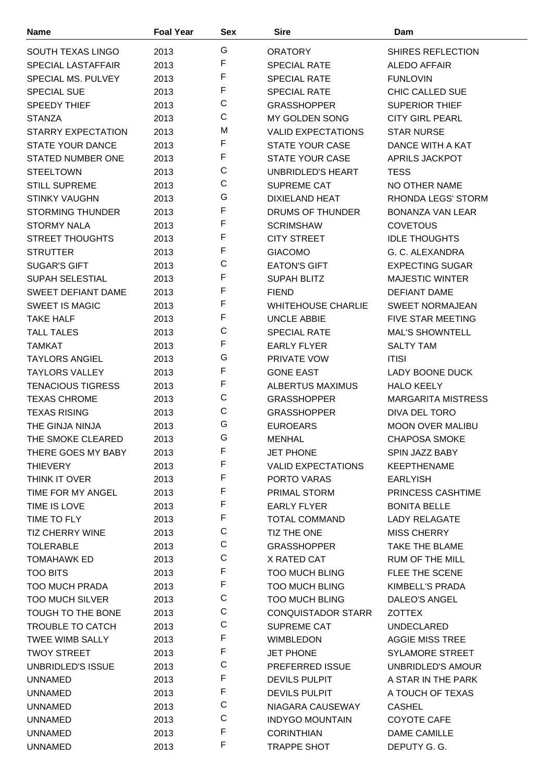| <b>Name</b>               | <b>Foal Year</b> | Sex          | <b>Sire</b>               | Dam                       |
|---------------------------|------------------|--------------|---------------------------|---------------------------|
| SOUTH TEXAS LINGO         | 2013             | G            | <b>ORATORY</b>            | <b>SHIRES REFLECTION</b>  |
| <b>SPECIAL LASTAFFAIR</b> | 2013             | F            | <b>SPECIAL RATE</b>       | <b>ALEDO AFFAIR</b>       |
| SPECIAL MS, PULVEY        | 2013             | F            | <b>SPECIAL RATE</b>       | <b>FUNLOVIN</b>           |
| <b>SPECIAL SUE</b>        | 2013             | F            | <b>SPECIAL RATE</b>       | CHIC CALLED SUE           |
| <b>SPEEDY THIEF</b>       | 2013             | C            | <b>GRASSHOPPER</b>        | <b>SUPERIOR THIEF</b>     |
| <b>STANZA</b>             | 2013             | С            | MY GOLDEN SONG            | <b>CITY GIRL PEARL</b>    |
| <b>STARRY EXPECTATION</b> | 2013             | M            | <b>VALID EXPECTATIONS</b> | <b>STAR NURSE</b>         |
| STATE YOUR DANCE          | 2013             | F            | <b>STATE YOUR CASE</b>    | DANCE WITH A KAT          |
| <b>STATED NUMBER ONE</b>  | 2013             | F            | <b>STATE YOUR CASE</b>    | APRILS JACKPOT            |
| <b>STEELTOWN</b>          | 2013             | C            | UNBRIDLED'S HEART         | <b>TESS</b>               |
| <b>STILL SUPREME</b>      | 2013             | C            | <b>SUPREME CAT</b>        | NO OTHER NAME             |
| <b>STINKY VAUGHN</b>      | 2013             | G            | DIXIELAND HEAT            | RHONDA LEGS' STORM        |
| <b>STORMING THUNDER</b>   | 2013             | F            | DRUMS OF THUNDER          | <b>BONANZA VAN LEAR</b>   |
| <b>STORMY NALA</b>        | 2013             | F            | <b>SCRIMSHAW</b>          | <b>COVETOUS</b>           |
| <b>STREET THOUGHTS</b>    | 2013             | F            | <b>CITY STREET</b>        | <b>IDLE THOUGHTS</b>      |
| <b>STRUTTER</b>           | 2013             | F            | <b>GIACOMO</b>            | G. C. ALEXANDRA           |
| <b>SUGAR'S GIFT</b>       | 2013             | C            | <b>EATON'S GIFT</b>       | <b>EXPECTING SUGAR</b>    |
| <b>SUPAH SELESTIAL</b>    | 2013             | F            | <b>SUPAH BLITZ</b>        | <b>MAJESTIC WINTER</b>    |
| <b>SWEET DEFIANT DAME</b> | 2013             | F            | <b>FIEND</b>              | <b>DEFIANT DAME</b>       |
| <b>SWEET IS MAGIC</b>     | 2013             | F            | <b>WHITEHOUSE CHARLIE</b> | <b>SWEET NORMAJEAN</b>    |
| <b>TAKE HALF</b>          | 2013             | F            | <b>UNCLE ABBIE</b>        | <b>FIVE STAR MEETING</b>  |
| <b>TALL TALES</b>         | 2013             | C            | <b>SPECIAL RATE</b>       | <b>MAL'S SHOWNTELL</b>    |
| <b>TAMKAT</b>             | 2013             | F            | <b>EARLY FLYER</b>        | <b>SALTY TAM</b>          |
| <b>TAYLORS ANGIEL</b>     | 2013             | G            | PRIVATE VOW               | <b>ITISI</b>              |
| <b>TAYLORS VALLEY</b>     | 2013             | F            | <b>GONE EAST</b>          | LADY BOONE DUCK           |
| <b>TENACIOUS TIGRESS</b>  | 2013             | F            | ALBERTUS MAXIMUS          | <b>HALO KEELY</b>         |
| <b>TEXAS CHROME</b>       | 2013             | C            | <b>GRASSHOPPER</b>        | <b>MARGARITA MISTRESS</b> |
| <b>TEXAS RISING</b>       | 2013             | $\mathsf{C}$ | <b>GRASSHOPPER</b>        | DIVA DEL TORO             |
| THE GINJA NINJA           | 2013             | G            | <b>EUROEARS</b>           | <b>MOON OVER MALIBU</b>   |
| THE SMOKE CLEARED         | 2013             | G            | <b>MENHAL</b>             | <b>CHAPOSA SMOKE</b>      |
| THERE GOES MY BABY        | 2013             | F            | <b>JET PHONE</b>          | SPIN JAZZ BABY            |
| <b>THIEVERY</b>           | 2013             | F            | <b>VALID EXPECTATIONS</b> | <b>KEEPTHENAME</b>        |
| THINK IT OVER             | 2013             | F            | PORTO VARAS               | <b>EARLYISH</b>           |
| TIME FOR MY ANGEL         | 2013             | F            | PRIMAL STORM              | PRINCESS CASHTIME         |
| TIME IS LOVE              | 2013             | F            | <b>EARLY FLYER</b>        | <b>BONITA BELLE</b>       |
| TIME TO FLY               | 2013             | F            | <b>TOTAL COMMAND</b>      | <b>LADY RELAGATE</b>      |
| <b>TIZ CHERRY WINE</b>    | 2013             | C            | TIZ THE ONE               | <b>MISS CHERRY</b>        |
| <b>TOLERABLE</b>          | 2013             | $\mathsf C$  | <b>GRASSHOPPER</b>        | TAKE THE BLAME            |
| <b>TOMAHAWK ED</b>        | 2013             | C            | X RATED CAT               | <b>RUM OF THE MILL</b>    |
| <b>TOO BITS</b>           | 2013             | F            | <b>TOO MUCH BLING</b>     | FLEE THE SCENE            |
| <b>TOO MUCH PRADA</b>     | 2013             | F            | <b>TOO MUCH BLING</b>     | KIMBELL'S PRADA           |
| <b>TOO MUCH SILVER</b>    | 2013             | C            | <b>TOO MUCH BLING</b>     | DALEO'S ANGEL             |
| TOUGH TO THE BONE         | 2013             | C            | <b>CONQUISTADOR STARR</b> | ZOTTEX                    |
| <b>TROUBLE TO CATCH</b>   | 2013             | C            | SUPREME CAT               | <b>UNDECLARED</b>         |
| <b>TWEE WIMB SALLY</b>    | 2013             | F            | <b>WIMBLEDON</b>          | <b>AGGIE MISS TREE</b>    |
| <b>TWOY STREET</b>        | 2013             | F            | <b>JET PHONE</b>          | <b>SYLAMORE STREET</b>    |
| UNBRIDLED'S ISSUE         | 2013             | C            | PREFERRED ISSUE           | UNBRIDLED'S AMOUR         |
| <b>UNNAMED</b>            | 2013             | F            | <b>DEVILS PULPIT</b>      | A STAR IN THE PARK        |
| <b>UNNAMED</b>            | 2013             | F            | <b>DEVILS PULPIT</b>      | A TOUCH OF TEXAS          |
| <b>UNNAMED</b>            | 2013             | C            | NIAGARA CAUSEWAY          | <b>CASHEL</b>             |
| <b>UNNAMED</b>            | 2013             | C            | <b>INDYGO MOUNTAIN</b>    | COYOTE CAFE               |
| <b>UNNAMED</b>            | 2013             | F            | <b>CORINTHIAN</b>         | DAME CAMILLE              |
| <b>UNNAMED</b>            | 2013             | F            | <b>TRAPPE SHOT</b>        | DEPUTY G. G.              |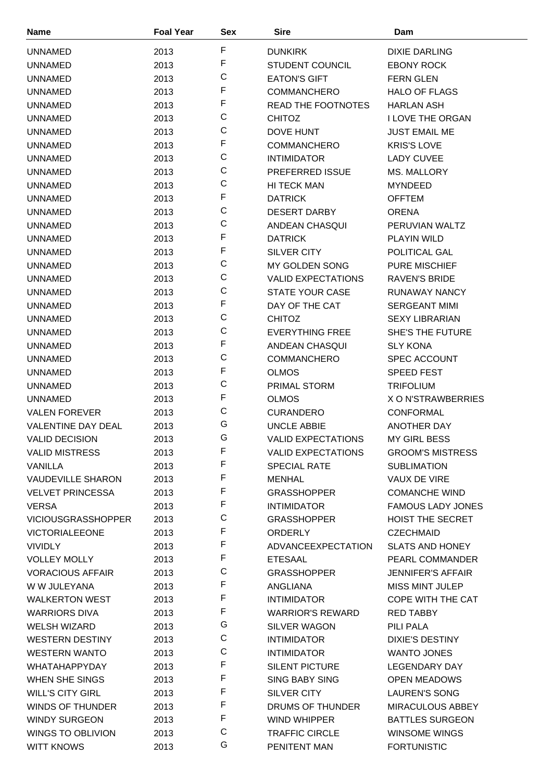| <b>Name</b>               | <b>Foal Year</b> | <b>Sex</b>  | <b>Sire</b>               | Dam                      |
|---------------------------|------------------|-------------|---------------------------|--------------------------|
| <b>UNNAMED</b>            | 2013             | F           | <b>DUNKIRK</b>            | DIXIE DARLING            |
| <b>UNNAMED</b>            | 2013             | F           | <b>STUDENT COUNCIL</b>    | <b>EBONY ROCK</b>        |
| <b>UNNAMED</b>            | 2013             | $\mathsf C$ | <b>EATON'S GIFT</b>       | <b>FERN GLEN</b>         |
| UNNAMED                   | 2013             | F           | <b>COMMANCHERO</b>        | <b>HALO OF FLAGS</b>     |
| <b>UNNAMED</b>            | 2013             | F           | <b>READ THE FOOTNOTES</b> | <b>HARLAN ASH</b>        |
| <b>UNNAMED</b>            | 2013             | C           | <b>CHITOZ</b>             | <b>I LOVE THE ORGAN</b>  |
| <b>UNNAMED</b>            | 2013             | $\mathsf C$ | <b>DOVE HUNT</b>          | <b>JUST EMAIL ME</b>     |
| <b>UNNAMED</b>            | 2013             | F           | <b>COMMANCHERO</b>        | <b>KRIS'S LOVE</b>       |
| UNNAMED                   | 2013             | $\mathsf C$ | <b>INTIMIDATOR</b>        | <b>LADY CUVEE</b>        |
| <b>UNNAMED</b>            | 2013             | $\mathsf C$ | <b>PREFERRED ISSUE</b>    | MS. MALLORY              |
| <b>UNNAMED</b>            | 2013             | $\mathsf C$ | <b>HI TECK MAN</b>        | <b>MYNDEED</b>           |
| <b>UNNAMED</b>            | 2013             | F           | <b>DATRICK</b>            | <b>OFFTEM</b>            |
| <b>UNNAMED</b>            | 2013             | $\mathsf C$ | <b>DESERT DARBY</b>       | <b>ORENA</b>             |
| <b>UNNAMED</b>            | 2013             | C           | ANDEAN CHASQUI            | PERUVIAN WALTZ           |
| <b>UNNAMED</b>            | 2013             | F           | <b>DATRICK</b>            | <b>PLAYIN WILD</b>       |
| <b>UNNAMED</b>            | 2013             | $\mathsf F$ | <b>SILVER CITY</b>        | <b>POLITICAL GAL</b>     |
| <b>UNNAMED</b>            | 2013             | $\mathsf C$ | MY GOLDEN SONG            | <b>PURE MISCHIEF</b>     |
| <b>UNNAMED</b>            |                  | $\mathsf C$ | <b>VALID EXPECTATIONS</b> | <b>RAVEN'S BRIDE</b>     |
|                           | 2013             | $\mathsf C$ | <b>STATE YOUR CASE</b>    |                          |
| <b>UNNAMED</b>            | 2013             | F           |                           | RUNAWAY NANCY            |
| <b>UNNAMED</b>            | 2013             | C           | DAY OF THE CAT            | <b>SERGEANT MIMI</b>     |
| <b>UNNAMED</b>            | 2013             | $\mathsf C$ | <b>CHITOZ</b>             | <b>SEXY LIBRARIAN</b>    |
| <b>UNNAMED</b>            | 2013             | F           | <b>EVERYTHING FREE</b>    | <b>SHE'S THE FUTURE</b>  |
| <b>UNNAMED</b>            | 2013             | C           | ANDEAN CHASQUI            | <b>SLY KONA</b>          |
| <b>UNNAMED</b>            | 2013             | F           | <b>COMMANCHERO</b>        | <b>SPEC ACCOUNT</b>      |
| <b>UNNAMED</b>            | 2013             | C           | <b>OLMOS</b>              | SPEED FEST               |
| <b>UNNAMED</b>            | 2013             | F           | <b>PRIMAL STORM</b>       | <b>TRIFOLIUM</b>         |
| <b>UNNAMED</b>            | 2013             | $\mathsf C$ | <b>OLMOS</b>              | X O N'STRAWBERRIES       |
| <b>VALEN FOREVER</b>      | 2013             |             | <b>CURANDERO</b>          | <b>CONFORMAL</b>         |
| <b>VALENTINE DAY DEAL</b> | 2013             | G           | <b>UNCLE ABBIE</b>        | <b>ANOTHER DAY</b>       |
| <b>VALID DECISION</b>     | 2013             | G           | <b>VALID EXPECTATIONS</b> | MY GIRL BESS             |
| <b>VALID MISTRESS</b>     | 2013             | F           | <b>VALID EXPECTATIONS</b> | <b>GROOM'S MISTRESS</b>  |
| VANILLA                   | 2013             | F           | <b>SPECIAL RATE</b>       | <b>SUBLIMATION</b>       |
| <b>VAUDEVILLE SHARON</b>  | 2013             | F           | <b>MENHAL</b>             | VAUX DE VIRE             |
| <b>VELVET PRINCESSA</b>   | 2013             | F           | <b>GRASSHOPPER</b>        | <b>COMANCHE WIND</b>     |
| <b>VERSA</b>              | 2013             | F           | <b>INTIMIDATOR</b>        | <b>FAMOUS LADY JONES</b> |
| <b>VICIOUSGRASSHOPPER</b> | 2013             | $\mathsf C$ | <b>GRASSHOPPER</b>        | HOIST THE SECRET         |
| <b>VICTORIALEEONE</b>     | 2013             | F           | ORDERLY                   | <b>CZECHMAID</b>         |
| <b>VIVIDLY</b>            | 2013             | F           | ADVANCEEXPECTATION        | <b>SLATS AND HONEY</b>   |
| <b>VOLLEY MOLLY</b>       | 2013             | F           | <b>ETESAAL</b>            | <b>PEARL COMMANDER</b>   |
| <b>VORACIOUS AFFAIR</b>   | 2013             | $\mathsf C$ | <b>GRASSHOPPER</b>        | <b>JENNIFER'S AFFAIR</b> |
| W W JULEYANA              | 2013             | F           | ANGLIANA                  | MISS MINT JULEP          |
| <b>WALKERTON WEST</b>     | 2013             | F           | <b>INTIMIDATOR</b>        | COPE WITH THE CAT        |
| <b>WARRIORS DIVA</b>      | 2013             | F           | <b>WARRIOR'S REWARD</b>   | <b>RED TABBY</b>         |
| <b>WELSH WIZARD</b>       | 2013             | G           | SILVER WAGON              | PILI PALA                |
| <b>WESTERN DESTINY</b>    | 2013             | $\mathsf C$ | <b>INTIMIDATOR</b>        | <b>DIXIE'S DESTINY</b>   |
| <b>WESTERN WANTO</b>      | 2013             | C           | <b>INTIMIDATOR</b>        | <b>WANTO JONES</b>       |
| WHATAHAPPYDAY             | 2013             | F           | <b>SILENT PICTURE</b>     | LEGENDARY DAY            |
| WHEN SHE SINGS            | 2013             | F           | <b>SING BABY SING</b>     | <b>OPEN MEADOWS</b>      |
| <b>WILL'S CITY GIRL</b>   | 2013             | F           | SILVER CITY               | <b>LAUREN'S SONG</b>     |
| WINDS OF THUNDER          | 2013             | F           | DRUMS OF THUNDER          | <b>MIRACULOUS ABBEY</b>  |
| <b>WINDY SURGEON</b>      | 2013             | $\mathsf F$ | WIND WHIPPER              | <b>BATTLES SURGEON</b>   |
| <b>WINGS TO OBLIVION</b>  | 2013             | $\mathsf C$ | <b>TRAFFIC CIRCLE</b>     | <b>WINSOME WINGS</b>     |
| <b>WITT KNOWS</b>         | 2013             | G           | PENITENT MAN              | <b>FORTUNISTIC</b>       |